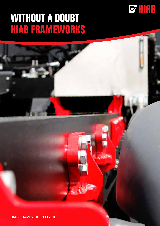#### **WITHOUT A DOUBT HIAB FRAMEWORKS**



HIAB FRAMEWORKS FLYER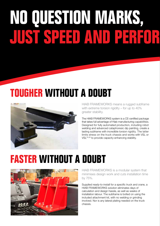# **NO QUESTION MARKS, JUST SPEED AND PERFOR**

### **TOUGHER WITHOUT A DOUBT**



HIAB FRAMEWORKS means a rugged subframe with extreme torsion rigidity – for up to 40% greater stability.

The HIAB FRAMEWORKS system is a CE-certified package that takes full advantage of Hiab manufacturing capabilities. Designed for fully automated production, including robot welding and advanced cataphoresic dip painting, create a lasting subframe with incredible torsion rigidity. The latter limits stress on the truck chassis and works with VSL or VSL<sup>PLUS</sup> to provide capacity-enhancing stability.

#### **FASTER WITHOUT A DOUBT**



HIAB FRAMEWORKS is a modular system that minimises design work and cuts installation time by 75%.

Supplied ready-to-install for a specific truck and crane, a HIAB FRAMEWORKS solution eliminates days of calculation and design hassle, as well as weeks of installation labour. The subframe is bolted on using the included attachment kit, with no welding or grinding involved. Nor is any lateral plating needed on the truck chassis.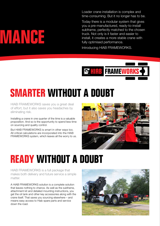Loader crane installation is complex and time-consuming. But it no longer has to be.

Today there is a modular system that gives you a pre-manufactured, ready-to-install subframe, perfectly matched to the chosen truck. Not only is it faster and easier to install, it creates a more stable crane with fully optimised performance.

Introducing HIAB FRAMEWORKS.



### **SMARTER WITHOUT A DOUBT**

HIAB FRAMEWORKS saves you a great deal of effort, but it also saves you headaches by eliminating risk.

Installing a crane in one quarter of the time is a valuable proposition. And so is the opportunity to spend less time on sourcing and quality control.

But HIAB FRAMEWORKS is smart in other ways too. All critical calculations are incorporated into the HIAB FRAMEWORKS system, which leaves all the worry to us.



#### **READY WITHOUT A DOUBT**

HIAB FRAMEWORKS is a full package that makes both delivery and future service a simple matter.

A HIAB FRAMEWORKS solution is a complete solution that leaves nothing to chance. As well as the subframe, attachment kit and detailed mounting instructions, you get the oil tank and other key accessories along with the crane itself. That saves you sourcing elsewhere – and means easy access to Hiab spare parts and service down the road.



## **JUST SPEED AND PERFORMANCE**